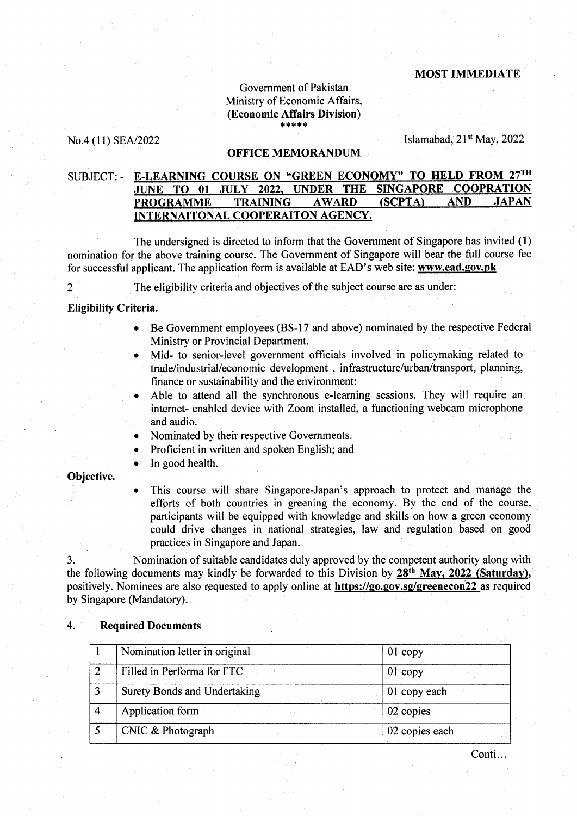## MOST IMMEDIATE

## Government of Pakistan Ministry of Economic Affairs, (Economic Affairs Division) \*\*\*\*

No.4 (11) SEA/2022 [slamabad, 21<sup>st</sup> May, 2022]

## OFFICE MEMORANDUM

# SUBJECT: - E-LEARNING COURSE ON "GREEN ECONOMY" TO HELD FROM 27TH JUNE TQ 01 JULY 2022. UNDER THE SINGAPORE COOPRATION PROGRAMME TRAINING AWARD (SCPTA) AND JAPAN INTERNAITONAL COOPERAITON AGENCY.

The undersigned is directed to inform that the Government of Singapore has invited (1) nomination for the above training course. The Government of Singapore will bear the full course fee for successful applicant. The application form is available at EAD's web site: www.ead.gov.pk

2 The eligibility criteria and objectives of the subject course are as under:

# Eligibility Criteria.

- o Be Government employees (BS-17 and above) nominated by the respective Federal Ministry or Provincial Department.
- o Mid- to senior-level government officials involved in policymaking related to trade/industrial/economic development, infrastructure/urban/transport, planning, finance or sustainability and the environment:
- . Able to attend all the synchronous e-learning sessions. They will require an internet- enabled device with Zoom installed, a functioning webcam microphone and audio.
- Nominated by their respective Governments.
- Proficient in written and spoken English; and
- In good health.

## Objective.

r This course will share Singapore-Japan's approach to protect and manage the effprts of both countries in greening the economy. By the end of the course, participants will be equipped with knowledge and skills on how a green economy could drive changes in national strategies, law and regulation based on good practices in Singapore and Japan

3. Nomination of suitable candidates duly approved by the competent authority along with the following documents may kindly be forwarded to this Division by 28th Mav. 2022 (Saturday), positively. Nominees are also requested to apply online at https://go.gov.sg/greenecon22 as required by Singapore (Mandatory).

| Nomination letter in original | $01$ copy      |
|-------------------------------|----------------|
| Filled in Performa for FTC    | $01$ copy      |
| Surety Bonds and Undertaking  | 01 copy each   |
| Application form              | 02 copies      |
| CNIC & Photograph             | 02 copies each |

## 4. Required Documents

Conti...